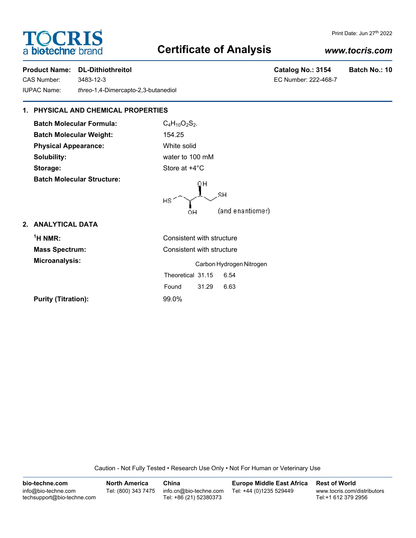# **TOCRIS** a biotechne brand

# **Certificate of Analysis**

# *www.tocris.com*

Print Date: Jun 27th 2022

### **Product Name: DL-Dithiothreitol Catalog No.: 3154 Batch No.: 10**

CAS Number: 3483-12-3 IUPAC Name: *threo*-1,4-Dimercapto-2,3-butanediol

| Catalog No.: 3154    | <b>Batch</b> |
|----------------------|--------------|
| EC Number: 222-468-7 |              |

## **1. PHYSICAL AND CHEMICAL PROPERTIES**

**Batch Molecular Formula:** C<sub>4</sub>H<sub>10</sub>O<sub>2</sub>S<sub>2</sub>. **Batch Molecular Weight:** 154.25 **Physical Appearance:** White solid **Solubility:** water to 100 mM **Storage:** Store at  $+4^{\circ}$ C **Batch Molecular Structure:**



## **2. ANALYTICAL DATA**

| $1H NMR$ :                 | Consistent with structure |  |  |
|----------------------------|---------------------------|--|--|
| <b>Mass Spectrum:</b>      | Consistent with structure |  |  |
| Microanalysis:             | Carbon Hydrogen Nitrogen  |  |  |
|                            | Theoretical 31.15<br>6.54 |  |  |
|                            | 31.29<br>6.63<br>Found    |  |  |
| <b>Purity (Titration):</b> | $99.0\%$                  |  |  |

Caution - Not Fully Tested • Research Use Only • Not For Human or Veterinary Use

| bio-techne.com                                    | <b>North America</b> | China                                            | <b>Europe Middle East Africa</b> | <b>Rest of World</b>                               |
|---------------------------------------------------|----------------------|--------------------------------------------------|----------------------------------|----------------------------------------------------|
| info@bio-techne.com<br>techsupport@bio-techne.com | Tel: (800) 343 7475  | info.cn@bio-techne.com<br>Tel: +86 (21) 52380373 | Tel: +44 (0)1235 529449          | www.tocris.com/distributors<br>Tel:+1 612 379 2956 |